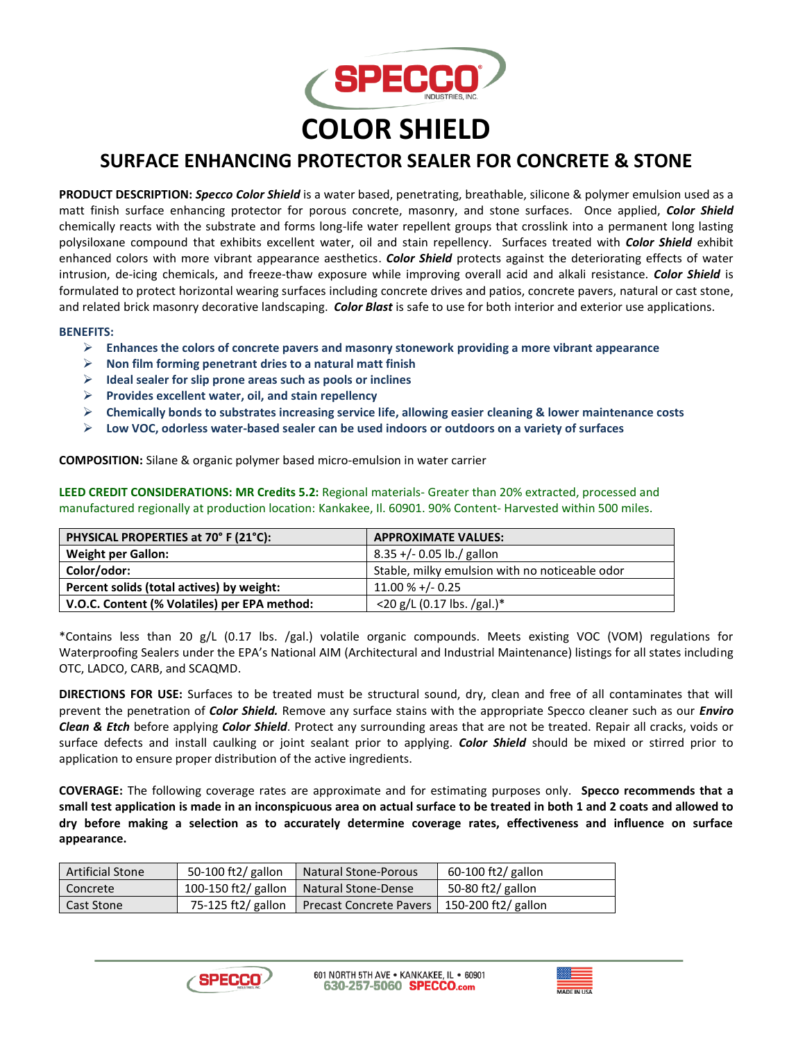

## **SURFACE ENHANCING PROTECTOR SEALER FOR CONCRETE & STONE**

**PRODUCT DESCRIPTION:** *Specco Color Shield* is a water based, penetrating, breathable, silicone & polymer emulsion used as a matt finish surface enhancing protector for porous concrete, masonry, and stone surfaces. Once applied, *Color Shield*  chemically reacts with the substrate and forms long-life water repellent groups that crosslink into a permanent long lasting polysiloxane compound that exhibits excellent water, oil and stain repellency. Surfaces treated with *Color Shield* exhibit enhanced colors with more vibrant appearance aesthetics. *Color Shield* protects against the deteriorating effects of water intrusion, de-icing chemicals, and freeze-thaw exposure while improving overall acid and alkali resistance. *Color Shield* is formulated to protect horizontal wearing surfaces including concrete drives and patios, concrete pavers, natural or cast stone, and related brick masonry decorative landscaping. *Color Blast* is safe to use for both interior and exterior use applications.

## **BENEFITS:**

- ➢ **Enhances the colors of concrete pavers and masonry stonework providing a more vibrant appearance**
- ➢ **Non film forming penetrant dries to a natural matt finish**
- ➢ **Ideal sealer for slip prone areas such as pools or inclines**
- ➢ **Provides excellent water, oil, and stain repellency**
- ➢ **Chemically bonds to substrates increasing service life, allowing easier cleaning & lower maintenance costs**
- ➢ **Low VOC, odorless water-based sealer can be used indoors or outdoors on a variety of surfaces**

**COMPOSITION:** Silane & organic polymer based micro-emulsion in water carrier

**LEED CREDIT CONSIDERATIONS: MR Credits 5.2:** Regional materials- Greater than 20% extracted, processed and manufactured regionally at production location: Kankakee, Il. 60901. 90% Content- Harvested within 500 miles.

| PHYSICAL PROPERTIES at 70° F (21°C):         | <b>APPROXIMATE VALUES:</b>                     |  |
|----------------------------------------------|------------------------------------------------|--|
| <b>Weight per Gallon:</b>                    | $8.35 +/- 0.05$ lb./ gallon                    |  |
| Color/odor:                                  | Stable, milky emulsion with no noticeable odor |  |
| Percent solids (total actives) by weight:    | $11.00 % +/- 0.25$                             |  |
| V.O.C. Content (% Volatiles) per EPA method: | $<$ 20 g/L (0.17 lbs. /gal.)*                  |  |

\*Contains less than 20 g/L (0.17 lbs. /gal.) volatile organic compounds. Meets existing VOC (VOM) regulations for Waterproofing Sealers under the EPA's National AIM (Architectural and Industrial Maintenance) listings for all states including OTC, LADCO, CARB, and SCAQMD.

**DIRECTIONS FOR USE:** Surfaces to be treated must be structural sound, dry, clean and free of all contaminates that will prevent the penetration of *Color Shield.* Remove any surface stains with the appropriate Specco cleaner such as our *Enviro Clean & Etch* before applying *Color Shield*. Protect any surrounding areas that are not be treated. Repair all cracks, voids or surface defects and install caulking or joint sealant prior to applying. *Color Shield* should be mixed or stirred prior to application to ensure proper distribution of the active ingredients.

**COVERAGE:** The following coverage rates are approximate and for estimating purposes only. **Specco recommends that a small test application is made in an inconspicuous area on actual surface to be treated in both 1 and 2 coats and allowed to dry before making a selection as to accurately determine coverage rates, effectiveness and influence on surface appearance.**

| <b>Artificial Stone</b> | 50-100 ft2/ gallon  | <b>Natural Stone-Porous</b>                   | $60-100$ ft2/ gallon |
|-------------------------|---------------------|-----------------------------------------------|----------------------|
| Concrete                | 100-150 ft2/ gallon | Natural Stone-Dense                           | 50-80 ft2/ gallon    |
| <b>Cast Stone</b>       | 75-125 ft2/ gallon  | Precast Concrete Pavers   150-200 ft2/ gallon |                      |